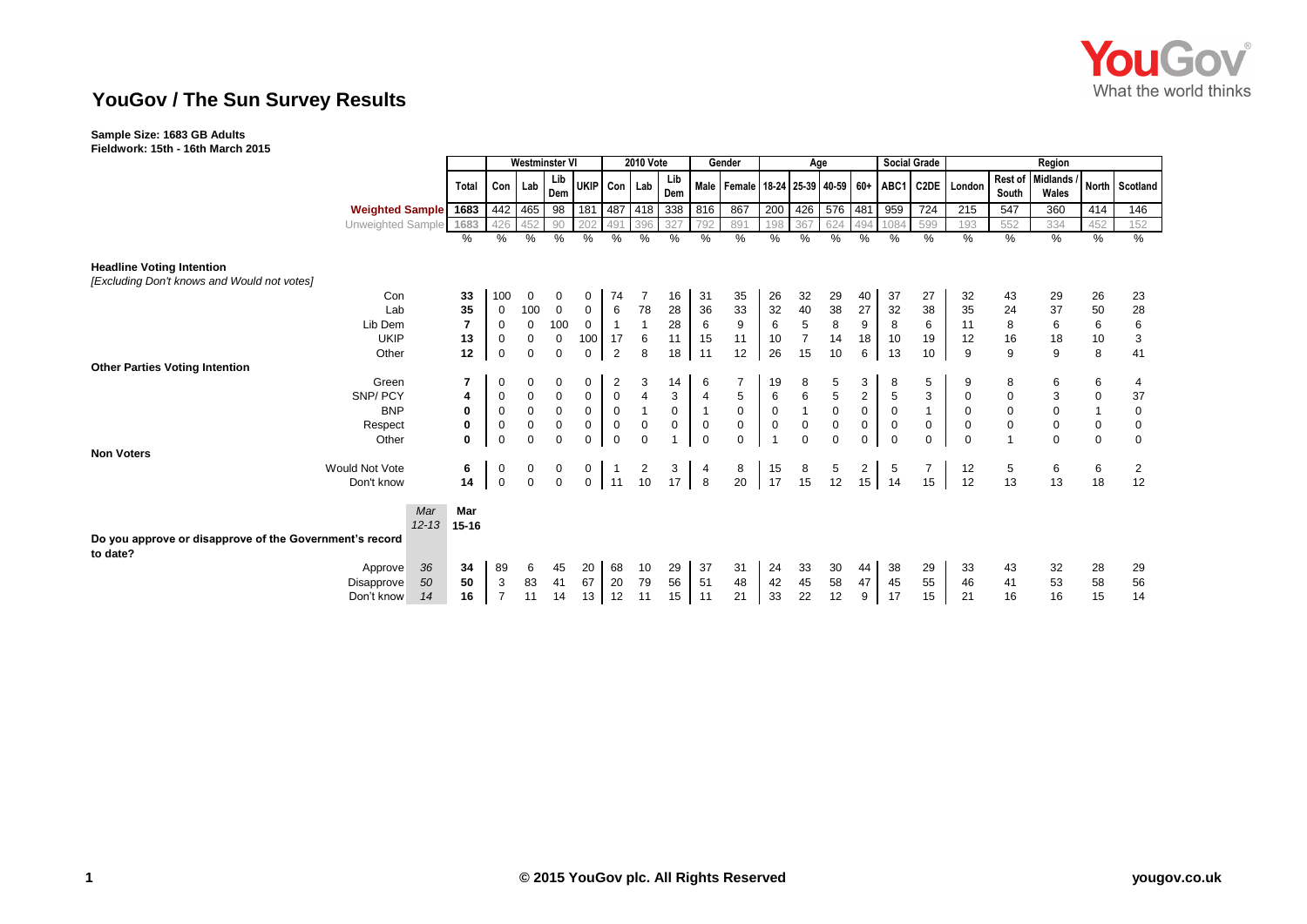

# **YouGov / The Sun Survey Results**

### **Sample Size: 1683 GB Adults**

**Fieldwork: 15th - 16th March 2015**

|                                                                     |                        |           | <b>Westminster VI</b> |             |             |                  | <b>2010 Vote</b> |                |            | Gender         | Age              |                |                |                     |                 | <b>Social Grade</b> | Region       |                                                                    |                 |                           |             |                |
|---------------------------------------------------------------------|------------------------|-----------|-----------------------|-------------|-------------|------------------|------------------|----------------|------------|----------------|------------------|----------------|----------------|---------------------|-----------------|---------------------|--------------|--------------------------------------------------------------------|-----------------|---------------------------|-------------|----------------|
|                                                                     |                        | Total     |                       | Con   Lab   | Lib<br>Dem  | UKIP Con Lab     |                  |                | Lib<br>Dem |                |                  |                |                |                     |                 |                     |              | Male   Female   18-24   25-39   40-59   60+   ABC1   C2DE   London | South           | Rest of Midlands<br>Wales |             | North Scotland |
|                                                                     | <b>Weighted Sample</b> | 1683      |                       | 442 465     | 98          |                  |                  | 181 487 418    | 338        | 816            | 867              | 200            | 426            | 576 481             |                 | 959                 | 724          | 215                                                                | 547             | 360                       | 414         | 146            |
|                                                                     | Unweighted Sample      | 1683      |                       |             | 90          | 20               |                  | 396            |            | 792            | 891              | 198            | 367            | 624                 | 494             | 1084                | 599          | 193                                                                | 552             | 334                       | 452         | 152            |
|                                                                     |                        | %         | %                     | %           | %           | $\%$             | %                | %              | %          | $\%$           | %                | %              | %              | %                   | %               | %                   | %            | %                                                                  | %               | $\%$                      | %           | $\%$           |
| <b>Headline Voting Intention</b>                                    |                        |           |                       |             |             |                  |                  |                |            |                |                  |                |                |                     |                 |                     |              |                                                                    |                 |                           |             |                |
| [Excluding Don't knows and Would not votes]                         |                        |           |                       |             |             |                  |                  |                |            |                |                  |                |                |                     |                 |                     |              |                                                                    |                 |                           |             |                |
|                                                                     | Con                    | 33        | 100                   | 0           | 0           | 0                | 74               |                | 16         | 31             | 35               | 26             | 32             | 29                  | 40              | 37                  | 27           | 32                                                                 | 43              | 29                        | 26          | 23             |
|                                                                     | Lab                    | 35        | $\mathbf 0$           | 100         | $\mathbf 0$ | $\overline{0}$   | 6                | 78             | 28         | $36\,$         | 33               | 32             | 40             | 38                  | 27              | 32                  | 38           | 35                                                                 | 24              | 37                        | 50          | 28             |
|                                                                     | Lib Dem                |           | $\mathbf 0$           | $\mathbf 0$ | 100         | $\mathbf 0$      | $\mathbf{1}$     |                | 28         | $\,6\,$        | $\boldsymbol{9}$ | 6              | 5              | $\bf 8$             | 9               | 8                   | 6            | 11                                                                 | $\bf8$          | $\,6\,$                   | $\,6\,$     | $\,6\,$        |
|                                                                     | <b>UKIP</b>            | 13        | 0                     | 0           | $\mathbf 0$ | 100 <sub>1</sub> | 17               | 6              | 11         | 15             | 11               | 10             | $\overline{7}$ | 14                  | 18              | 10                  | 19           | 12                                                                 | 16              | 18                        | 10          | $\mathsf 3$    |
|                                                                     | Other                  | 12        | $\mathbf 0$           | $\mathbf 0$ | $\mathbf 0$ | $\mathbf 0$      | $\overline{2}$   | 8              | 18         | 11             | 12               | 26             | 15             | 10                  | 6               | 13                  | 10           | 9                                                                  | 9               | 9                         | 8           | 41             |
| <b>Other Parties Voting Intention</b>                               |                        |           |                       |             |             |                  |                  |                |            |                |                  |                |                |                     |                 |                     |              |                                                                    |                 |                           |             |                |
|                                                                     | Green                  | 7         | 0                     | 0           | 0           | 0                | 2                | 3              | 14         | 6              | $\overline{7}$   | 19             | 8              | 5                   | 3               | 8                   | 5            | 9                                                                  | 8               | 6                         | 6           | 4              |
|                                                                     | SNP/PCY                | 4         | $\boldsymbol{0}$      | $\mathbf 0$ | $\mathbf 0$ | $\mathbf 0$      | $\mathbf 0$      | $\overline{4}$ | 3          | $\overline{4}$ | $\sqrt{5}$       | 6              | $\,6$          | $\sqrt{5}$          | $\overline{c}$  | $\sqrt{5}$          | 3            | $\mathbf 0$                                                        | $\pmb{0}$       | $\mathsf 3$               | $\pmb{0}$   | 37             |
|                                                                     | <b>BNP</b>             | 0         | $\mathbf 0$           | $\mathbf 0$ | $\mathbf 0$ | $\mathbf 0$      | $\mathbf 0$      |                | 0          | $\mathbf{1}$   | $\mathbf 0$      | 0              |                | $\mathsf{O}\xspace$ | $\mathbf 0$     | $\mathbf 0$         | $\mathbf{1}$ | 0                                                                  | $\pmb{0}$       | $\pmb{0}$                 |             | $\mathbf 0$    |
|                                                                     | Respect                | 0         | $\mathbf 0$           | 0           | $\mathbf 0$ | $\mathbf 0$      | $\mathbf 0$      | $\mathbf 0$    | 0          | $\mathbf 0$    | $\mathbf 0$      | $\pmb{0}$      | $\mathbf 0$    | $\pmb{0}$           | $\mathbf 0$     | $\mathbf 0$         | $\mathbf 0$  | $\mathbf 0$                                                        | $\mathbf 0$     | $\mathbf 0$               | $\pmb{0}$   | $\mathbf 0$    |
|                                                                     | Other                  | 0         | $\mathbf 0$           | $\mathbf 0$ | $\mathbf 0$ | $\mathbf 0$      | $\mathbf 0$      | $\Omega$       |            | $\mathbf 0$    | $\mathbf 0$      | $\overline{1}$ | $\Omega$       | $\mathbf 0$         | 0               | $\Omega$            | $\mathbf 0$  | $\mathbf 0$                                                        |                 | $\mathbf 0$               | $\mathbf 0$ | $\mathbf 0$    |
| <b>Non Voters</b>                                                   |                        |           |                       |             |             |                  |                  |                |            |                |                  |                |                |                     |                 |                     |              |                                                                    |                 |                           |             |                |
| <b>Would Not Vote</b>                                               |                        | 6         | 0                     | 0           | 0           | 0                |                  | $\overline{2}$ | 3          | 4              | 8                | 15             | 8              | 5                   | $\overline{2}$  | 5                   |              | 12                                                                 | $5\phantom{.0}$ | 6                         | 6           | 2              |
|                                                                     | Don't know             | 14        | $\mathbf 0$           | $\mathbf 0$ | $\mathbf 0$ | $\overline{0}$   | 11               | 10             | 17         | 8              | 20               | 17             | 15             | 12                  | 15 <sub>1</sub> | 14                  | 15           | 12                                                                 | 13              | 13                        | 18          | 12             |
|                                                                     | Mar                    | Mar       |                       |             |             |                  |                  |                |            |                |                  |                |                |                     |                 |                     |              |                                                                    |                 |                           |             |                |
|                                                                     | $12 - 13$              | $15 - 16$ |                       |             |             |                  |                  |                |            |                |                  |                |                |                     |                 |                     |              |                                                                    |                 |                           |             |                |
| Do you approve or disapprove of the Government's record<br>to date? |                        |           |                       |             |             |                  |                  |                |            |                |                  |                |                |                     |                 |                     |              |                                                                    |                 |                           |             |                |
|                                                                     | 36<br>Approve          | 34        | 89                    | 6           | 45          | 20               | 68               | 10             | 29         | 37             | 31               | 24             | 33             | 30                  | 44              | 38                  | 29           | 33                                                                 | 43              | 32                        | 28          | 29             |
|                                                                     | 50<br>Disapprove       | 50        | 3                     | 83          | 41          | 67               | 20               | 79             | 56         | 51             | 48               | 42             | 45             | 58                  | 47              | 45                  | 55           | 46                                                                 | 41              | 53                        | 58          | 56             |
|                                                                     | 14<br>Don't know       | 16        |                       | 11          | 14          | 13               | 12               | 11             | 15         | 11             | 21               | 33             | 22             | 12                  | 9               | 17                  | 15           | 21                                                                 | 16              | 16                        | 15          | 14             |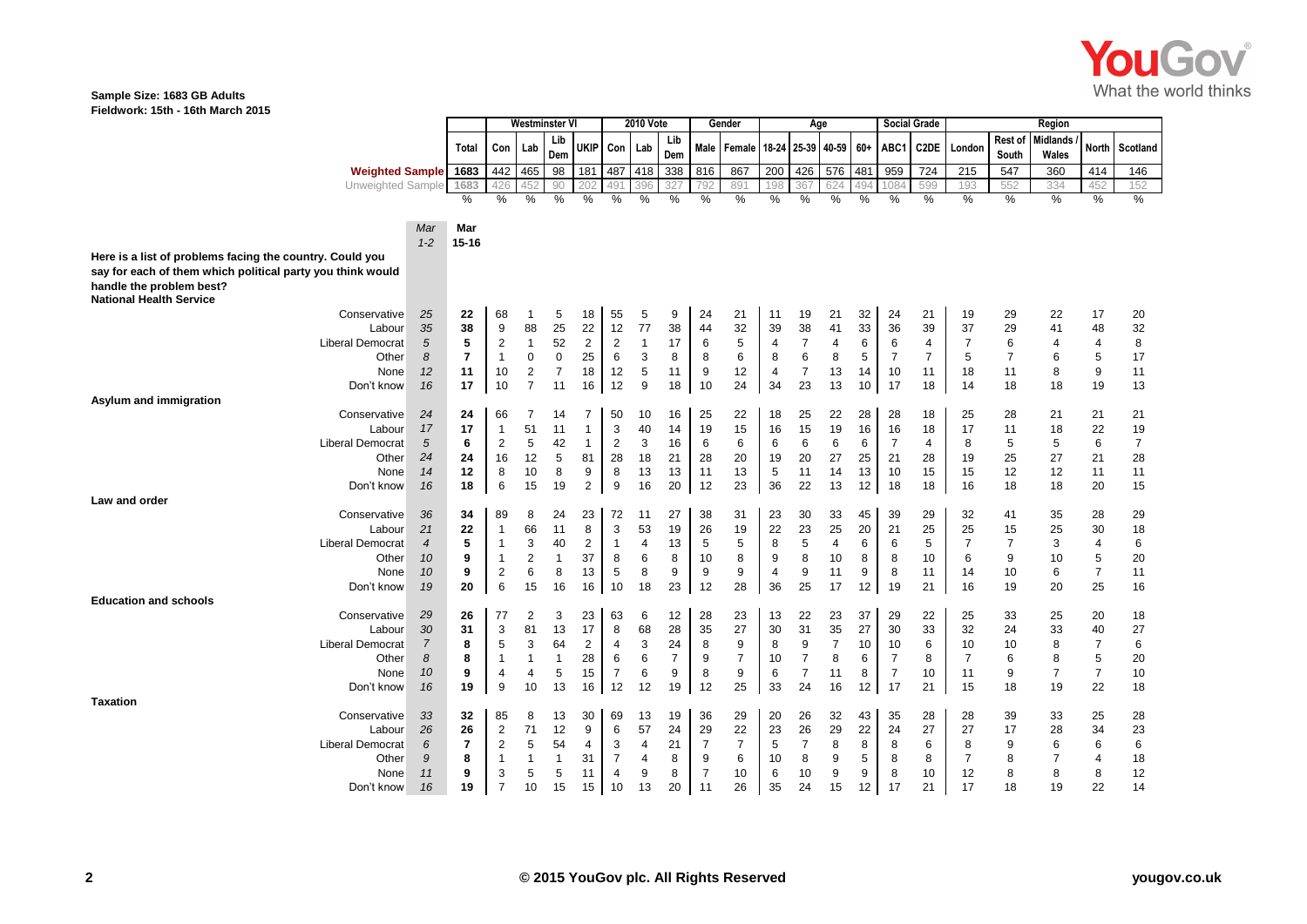

#### **Sample Size: 1683 GB Adults Fieldwork: 15th - 16th March 2015**

|                                                            |                | Westminster Vl          |                     | 2010 Vote      |                |                |                      | Gender                   | Age            |                  |                               |                |                      | <b>Social Grade</b> | Region   |                      |                |                |                  |                          |                |                |
|------------------------------------------------------------|----------------|-------------------------|---------------------|----------------|----------------|----------------|----------------------|--------------------------|----------------|------------------|-------------------------------|----------------|----------------------|---------------------|----------|----------------------|----------------|----------------|------------------|--------------------------|----------------|----------------|
|                                                            |                | Total                   | Con                 | Lab            | Lib<br>Dem     | UKIP           | Con                  | Lab                      | Lib<br>Dem     |                  | Male   Female   18-24   25-39 |                |                      | 40-59 60+           |          | ABC1                 | C2DE           | London         | Rest of<br>South | <b>Midlands</b><br>Wales | <b>North</b>   | Scotland       |
| <b>Weighted Sample</b>                                     |                | 1683                    | 442                 | 465            | 98             | 181            | 487                  | 418                      | 338            | 816              | 867                           | 200            | 426                  | 576                 | 481      | 959                  | 724            | 215            | 547              | 360                      | 414            | 146            |
| <b>Unweighted Sample</b>                                   |                | 1683                    | 426                 |                | 90             | 202            | 49                   | 396                      | 327            | 792              | 891                           | 198            | 367                  | 624                 | 494      | 1084                 | 599            | 193            | 552              | 334                      | 452            | 152            |
|                                                            |                | $\%$                    | $\frac{0}{0}$       | %              | %              | %              | %                    | %                        | $\frac{0}{0}$  | $\frac{0}{0}$    | %                             | %              | $\frac{0}{0}$        | $\frac{0}{0}$       | $\%$     | %                    | $\frac{9}{6}$  | %              | $\frac{0}{0}$    | %                        | %              | %              |
|                                                            |                |                         |                     |                |                |                |                      |                          |                |                  |                               |                |                      |                     |          |                      |                |                |                  |                          |                |                |
|                                                            | Mar<br>$1 - 2$ | Mar<br>$15 - 16$        |                     |                |                |                |                      |                          |                |                  |                               |                |                      |                     |          |                      |                |                |                  |                          |                |                |
| Here is a list of problems facing the country. Could you   |                |                         |                     |                |                |                |                      |                          |                |                  |                               |                |                      |                     |          |                      |                |                |                  |                          |                |                |
| say for each of them which political party you think would |                |                         |                     |                |                |                |                      |                          |                |                  |                               |                |                      |                     |          |                      |                |                |                  |                          |                |                |
| handle the problem best?                                   |                |                         |                     |                |                |                |                      |                          |                |                  |                               |                |                      |                     |          |                      |                |                |                  |                          |                |                |
| <b>National Health Service</b>                             |                |                         |                     |                |                |                |                      |                          |                |                  |                               |                |                      |                     |          |                      |                |                |                  |                          |                |                |
| Conservative                                               | 25             | 22                      | 68                  | -1             | 5              | 18             | 55                   | 5                        | 9              | 24               | 21                            | 11             | 19                   | 21                  | 32       | 24                   | 21             | 19             | 29               | 22                       | 17             | 20             |
| Labour                                                     | 35             | 38                      | 9                   | 88             | 25             | 22             | 12                   | 77                       | 38             | 44               | 32                            | 39             | 38                   | 41                  | 33       | 36                   | 39             | 37             | 29               | 41                       | 48             | 32             |
| <b>Liberal Democrat</b>                                    | 5              | 5                       | $\overline{2}$      | $\overline{1}$ | 52             | $\overline{2}$ | $\overline{2}$       | 1                        | 17             | $\,6$            | 5                             | 4              | $\overline{7}$       | 4                   | 6        | 6                    | 4              | $\overline{7}$ | 6                | 4                        | $\overline{4}$ | 8              |
| Other                                                      | 8              | $\overline{7}$          | $\mathbf 1$         | 0              | $\mathsf 0$    | 25             | 6                    | 3                        | 8              | 8                | 6                             | 8              | 6                    | 8                   | 5        | $\overline{7}$       | $\overline{7}$ | 5              | $\overline{7}$   | 6                        | 5              | 17             |
| None                                                       | 12             | 11                      | 10                  | $\overline{2}$ | $\overline{7}$ | 18             | 12                   | 5                        | 11             | $\boldsymbol{9}$ | 12                            | 4              | $\overline{7}$       | 13                  | 14       | 10                   | 11             | 18             | 11               | 8                        | 9              | 11             |
| Don't know                                                 | 16             | 17                      | 10                  | $\overline{7}$ | 11             | 16             | 12                   | 9                        | 18             | 10               | 24                            | 34             | 23                   | 13                  | 10       | 17                   | 18             | 14             | 18               | 18                       | 19             | 13             |
| Asylum and immigration                                     |                |                         |                     |                |                |                |                      |                          |                |                  |                               |                |                      |                     |          |                      |                |                |                  |                          |                |                |
| Conservative                                               | 24             | 24                      | 66                  | $\overline{7}$ | 14             | $\overline{7}$ | 50                   | 10                       | 16             | 25               | 22                            | 18             | 25                   | 22                  | 28       | 28                   | 18             | 25             | 28               | 21                       | 21             | 21             |
| Labour                                                     | 17             | 17                      | $\mathbf{1}$        | 51             | 11             | $\mathbf{1}$   | 3                    | 40                       | 14             | 19               | 15                            | 16             | 15                   | 19                  | 16       | 16                   | 18             | 17             | 11               | 18                       | 22             | 19             |
| <b>Liberal Democrat</b>                                    | 5              | 6                       | $\overline{c}$      | 5              | 42             | $\mathbf{1}$   | $\overline{c}$       | 3                        | 16             | 6                | 6                             | 6              | 6                    | 6                   | 6        | $\overline{7}$       | $\overline{4}$ | 8              | 5                | 5                        | 6              | $\overline{7}$ |
| Other                                                      | 24<br>14       | 24<br>12                | 16<br>8             | 12<br>10       | 5<br>8         | 81<br>9        | 28<br>8              | 18                       | 21<br>13       | 28<br>11         | 20<br>13                      | 19             | 20<br>11             | 27<br>14            | 25<br>13 | 21<br>10             | 28             | 19             | 25<br>12         | 27<br>12                 | 21<br>11       | 28<br>11       |
| None<br>Don't know                                         | 16             | 18                      | 6                   | 15             | 19             | $\overline{2}$ | 9                    | 13<br>16                 | 20             | 12               | 23                            | 5<br>36        | 22                   | 13                  | 12       | 18                   | 15<br>18       | 15<br>16       | 18               | 18                       | 20             | 15             |
| Law and order                                              |                |                         |                     |                |                |                |                      |                          |                |                  |                               |                |                      |                     |          |                      |                |                |                  |                          |                |                |
| Conservative                                               | 36             | 34                      | 89                  | 8              | 24             | 23             | 72                   | 11                       | 27             | 38               | 31                            | 23             | 30                   | 33                  | 45       | 39                   | 29             | 32             | 41               | 35                       | 28             | 29             |
| Labour                                                     | 21             | 22                      | $\mathbf 1$         | 66             | 11             | 8              | 3                    | 53                       | 19             | 26               | 19                            | 22             | 23                   | 25                  | 20       | 21                   | 25             | 25             | 15               | 25                       | 30             | 18             |
| <b>Liberal Democrat</b>                                    | $\overline{4}$ | 5                       | $\mathbf{1}$        | 3              | 40             | 2              | $\mathbf{1}$         | 4                        | 13             | 5                | 5                             | 8              | 5                    | 4                   | 6        | 6                    | 5              | $\overline{7}$ | $\overline{7}$   | 3                        | $\overline{4}$ | 6              |
| Other                                                      | 10             | 9                       | $\mathbf{1}$        | $\overline{2}$ | $\mathbf{1}$   | 37             | 8                    | 6                        | 8              | 10               | 8                             | 9              | 8                    | 10                  | 8        | 8                    | 10             | 6              | 9                | 10                       | $\sqrt{5}$     | $20\,$         |
| None                                                       | 10             | 9                       | $\overline{2}$      | 6              | 8              | 13             | 5                    | 8                        | 9              | 9                | 9                             | $\overline{4}$ | 9                    | 11                  | 9        | 8                    | 11             | 14             | 10               | 6                        | $\overline{7}$ | 11             |
| Don't know                                                 | 19             | 20                      | 6                   | 15             | 16             | 16             | 10                   | 18                       | 23             | 12               | 28                            | 36             | 25                   | 17                  | 12       | 19                   | 21             | 16             | 19               | 20                       | 25             | 16             |
| <b>Education and schools</b>                               |                |                         |                     |                |                |                |                      |                          |                |                  |                               |                |                      |                     |          |                      |                |                |                  |                          |                |                |
| Conservative                                               | 29             | 26                      | 77                  | 2              | 3              | 23             | 63                   | 6                        | 12             | 28               | 23                            | 13             | 22                   | 23                  | 37       | 29                   | 22             | 25             | 33               | 25                       | 20             | 18             |
| Labour                                                     | 30             | 31                      | 3                   | 81             | 13             | 17             | 8                    | 68                       | 28             | 35               | 27                            | 30             | 31                   | 35                  | 27       | 30                   | 33             | 32             | 24               | 33                       | 40             | 27             |
| <b>Liberal Democrat</b>                                    | $\overline{7}$ | 8                       | 5                   | 3              | 64             | $\overline{2}$ | 4                    | 3                        | 24             | 8                | 9                             | 8              | 9                    | $\overline{7}$      | 10       | 10                   | 6              | 10             | 10               | 8                        | $\overline{7}$ | 6              |
| Other                                                      | 8              | 8                       | $\mathbf 1$         | $\mathbf{1}$   | $\mathbf 1$    | 28             | 6                    | 6                        | $\overline{7}$ | 9                | $\overline{7}$                | 10             | $\overline{7}$       | 8                   | 6        | $\overline{7}$       | 8              | $\overline{7}$ | 6                | 8                        | 5              | 20             |
| None                                                       | 10             | 9<br>19                 | $\overline{4}$<br>9 | 4<br>10        | 5<br>13        | 15<br>16       | $\overline{7}$<br>12 | 6<br>12                  | 9<br>19        | 8<br>12          | 9<br>25                       | 6<br>33        | $\overline{7}$<br>24 | 11<br>16            | 8        | $\overline{7}$<br>17 | 10<br>21       | 11             | 9                | $\overline{7}$           | $\overline{7}$ | 10<br>18       |
| Don't know                                                 | 16             |                         |                     |                |                |                |                      |                          |                |                  |                               |                |                      |                     | 12       |                      |                | 15             | 18               | 19                       | 22             |                |
| <b>Taxation</b><br>Conservative                            | 33             | 32                      | 85                  | 8              | 13             | 30             | 69                   | 13                       | 19             | 36               | 29                            | 20             | 26                   | 32                  | 43       | 35                   | 28             | 28             | 39               | 33                       | 25             | 28             |
| Labour                                                     | 26             | 26                      | 2                   | 71             | 12             | 9              | 6                    | 57                       | 24             | 29               | 22                            | 23             | 26                   | 29                  | 22       | 24                   | 27             | 27             | 17               | 28                       | 34             | 23             |
| <b>Liberal Democrat</b>                                    | 6              | $\overline{\mathbf{r}}$ | $\overline{2}$      | 5              | 54             | 4              | 3                    | $\overline{4}$           | 21             | $\overline{7}$   | $\overline{7}$                | 5              | $\overline{7}$       | 8                   | 8        | 8                    | 6              | 8              | 9                | 6                        | 6              | 6              |
| Other                                                      | 9              | 8                       | 1                   | 1              | 1              | 31             | $\overline{7}$       | $\overline{\mathcal{A}}$ | 8              | 9                | 6                             | 10             | 8                    | 9                   | 5        | 8                    | 8              | $\overline{7}$ | 8                | 7                        | 4              | 18             |
| None                                                       | 11             | 9                       | 3                   | 5              | 5              | 11             | 4                    | 9                        | 8              | $\overline{7}$   | 10                            | 6              | 10                   | 9                   | 9        | 8                    | 10             | 12             | 8                | 8                        | 8              | 12             |
| Don't know                                                 | 16             | 19                      | $\overline{7}$      | 10             | 15             | 15             | 10                   | 13                       | 20             | 11               | 26                            | 35             | 24                   | 15                  | 12       | 17                   | 21             | 17             | 18               | 19                       | 22             | 14             |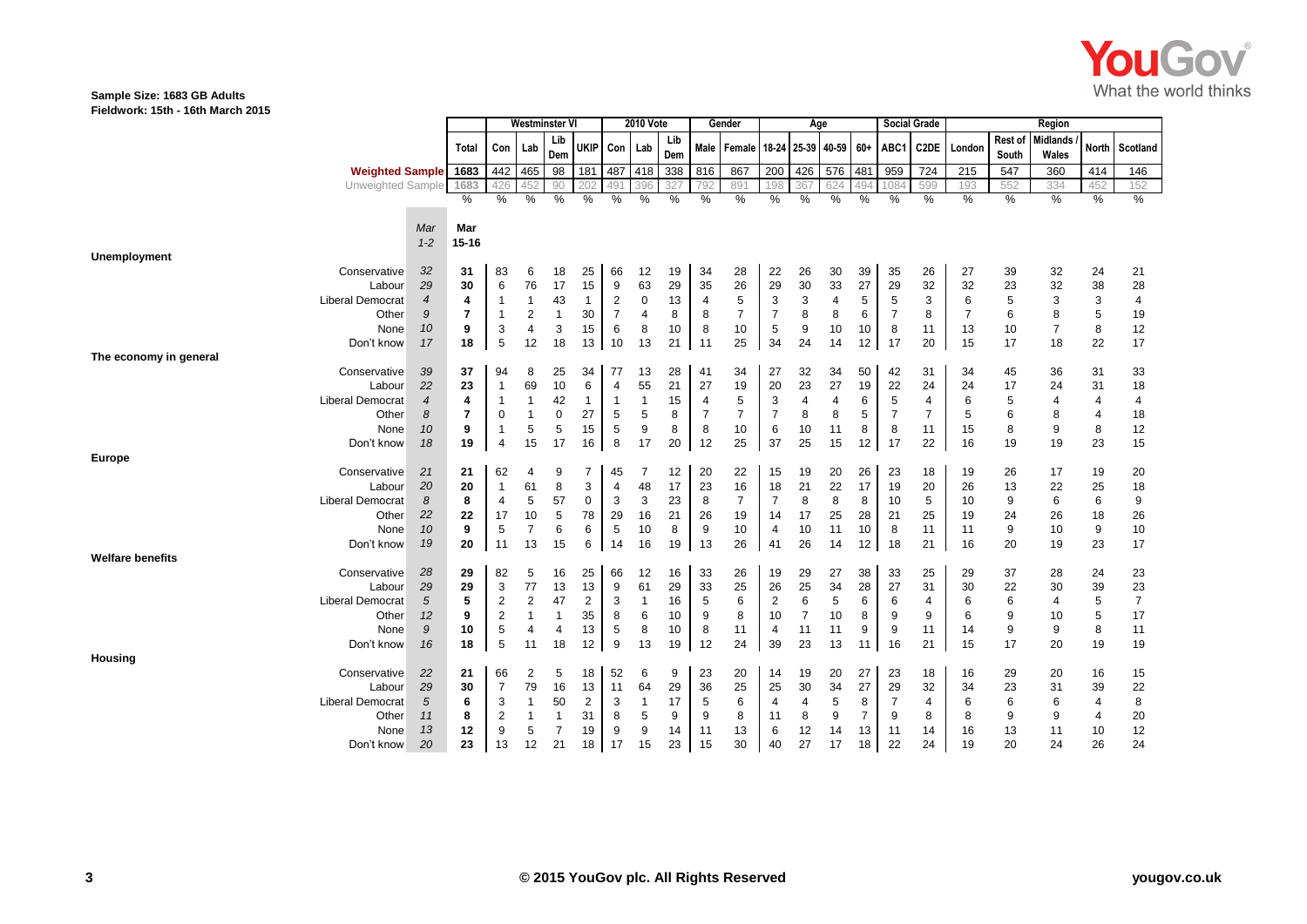

#### **Sample Size: 1683 GB Adults Fieldwork: 15th - 16th March 2015**

|                         |                  |           | Westminster Vl          |                |                | <b>2010 Vote</b> |                |                |            | Gender         | Age                                                |                |                |     |                | <b>Social Grade</b> | Region         |                |                  |                          |                 |                |
|-------------------------|------------------|-----------|-------------------------|----------------|----------------|------------------|----------------|----------------|------------|----------------|----------------------------------------------------|----------------|----------------|-----|----------------|---------------------|----------------|----------------|------------------|--------------------------|-----------------|----------------|
|                         |                  | Total     | Con Lab                 |                | Lib<br>Dem     | <b>UKIP</b>      | Con Lab        |                | Lib<br>Dem |                | Male   Female   18-24   25-39   40-59   60+   ABC1 |                |                |     |                |                     | C2DE           | London         | Rest of<br>South | <b>Midlands</b><br>Wales | <b>North</b>    | Scotland       |
| <b>Weighted Sample</b>  |                  | 1683      | 442                     | 465            | 98             | 181              | 487            | 418            | 338        | 816            | 867                                                | 200            | 426            | 576 | 481            | 959                 | 724            | 215            | 547              | 360                      | 414             | 146            |
| Unweighted Sample       |                  | 1683      | 426                     | 452            | 90             | 202              | 49             | 396            | 327        | 792            | 891                                                | 198            | 367            | 624 | 494            | 1084                | 599            | 193            | 552              | 334                      | 452             | 152            |
|                         |                  | $\%$      | %                       | %              | %              | %                | $\%$           | $\%$           | %          | %              | %                                                  | %              | %              | %   | %              | $\frac{0}{0}$       | %              | %              | %                | %                        | %               | %              |
|                         |                  |           |                         |                |                |                  |                |                |            |                |                                                    |                |                |     |                |                     |                |                |                  |                          |                 |                |
|                         | Mar              | Mar       |                         |                |                |                  |                |                |            |                |                                                    |                |                |     |                |                     |                |                |                  |                          |                 |                |
|                         | $1 - 2$          | $15 - 16$ |                         |                |                |                  |                |                |            |                |                                                    |                |                |     |                |                     |                |                |                  |                          |                 |                |
| Unemployment            |                  |           |                         |                |                |                  |                |                |            |                |                                                    |                |                |     |                |                     |                |                |                  |                          |                 |                |
| Conservative            | 32               | 31        | 83                      | 6              | 18             | 25               | 66             | 12             | 19         | 34             | 28                                                 | 22             | 26             | 30  | 39             | 35                  | 26             | 27             | 39               | 32                       | 24              | 21             |
| Labour                  | 29               | 30        | 6                       | 76             | 17             | 15               | 9              | 63             | 29         | 35             | 26                                                 | 29             | $30\,$         | 33  | 27             | 29                  | 32             | 32             | 23               | 32                       | 38              | 28             |
| <b>Liberal Democrat</b> | $\overline{4}$   | 4         | $\overline{\mathbf{1}}$ | $\mathbf 1$    | 43             | $\mathbf{1}$     | $\overline{2}$ | $\mathbf 0$    | 13         | $\overline{4}$ | 5                                                  | 3              | 3              | 4   | 5              | 5                   | 3              | 6              | 5                | 3                        | 3               | 4              |
| Other                   | 9                | 7         | $\overline{1}$          | $\overline{2}$ | $\overline{1}$ | 30               | $\overline{7}$ | $\overline{4}$ | 8          | 8              | $\overline{7}$                                     | $\overline{7}$ | 8              | 8   | 6              | $\overline{7}$      | 8              | $\overline{7}$ | 6                | 8                        | 5               | 19             |
| None                    | 10               | 9         | 3                       | 4              | 3              | 15               | 6              | 8              | 10         | 8              | 10                                                 | 5              | 9              | 10  | 10             | 8                   | 11             | 13             | 10               | $\overline{7}$           | 8               | 12             |
| Don't know              | 17               | 18        | 5                       | 12             | 18             | 13               | 10             | 13             | 21         | 11             | 25                                                 | 34             | 24             | 14  | 12             | 17                  | 20             | 15             | 17               | 18                       | 22              | 17             |
| The economy in general  |                  |           |                         |                |                |                  |                |                |            |                |                                                    |                |                |     |                |                     |                |                |                  |                          |                 |                |
| Conservative            | 39               | 37        | 94                      | 8              | 25             | 34               | 77             | 13             | 28         | 41             | 34                                                 | 27             | 32             | 34  | 50             | 42                  | 31             | 34             | 45               | 36                       | 31              | 33             |
| Labour                  | 22               | 23        | $\mathbf 1$             | 69             | 10             | 6                | $\overline{4}$ | 55             | 21         | 27             | 19                                                 | 20             | 23             | 27  | 19             | 22                  | 24             | 24             | 17               | 24                       | 31              | 18             |
| <b>Liberal Democrat</b> | $\overline{4}$   | 4         | -1                      | $\mathbf 1$    | 42             | $\mathbf{1}$     | $\overline{1}$ | $\overline{1}$ | 15         | $\overline{4}$ | 5                                                  | 3              | $\overline{4}$ | 4   | 6              | 5                   | $\overline{4}$ | 6              | 5                | $\overline{4}$           | $\overline{4}$  | 4              |
| Other                   | 8                | 7         | $\mathbf 0$             | $\mathbf 1$    | 0              | 27               | 5              | 5              | 8          | $\overline{7}$ | $\overline{7}$                                     | $\overline{7}$ | 8              | 8   | 5              | $\overline{7}$      | $\overline{7}$ | 5              | 6                | 8                        | $\overline{4}$  | 18             |
| None                    | 10               | 9         | -1                      | 5              | 5              | 15               | 5              | 9              | 8          | 8              | 10                                                 | 6              | 10             | 11  | 8              | 8                   | 11             | 15             | 8                | 9                        | 8               | 12             |
| Don't know              | 18               | 19        | $\overline{4}$          | 15             | 17             | 16               | 8              | 17             | 20         | 12             | 25                                                 | 37             | 25             | 15  | 12             | 17                  | 22             | 16             | 19               | 19                       | 23              | 15             |
| <b>Europe</b>           |                  |           |                         |                |                |                  |                |                |            |                |                                                    |                |                |     |                |                     |                |                |                  |                          |                 |                |
| Conservative            | 21               | 21        | 62                      | 4              | 9              | 7                | 45             | 7              | 12         | 20             | 22                                                 | 15             | 19             | 20  | 26             | 23                  | 18             | 19             | 26               | 17                       | 19              | 20             |
| Labour                  | 20               | 20        | $\mathbf{1}$            | 61             | 8              | 3                | 4              | 48             | 17         | 23             | 16                                                 | 18             | 21             | 22  | 17             | 19                  | 20             | 26             | 13               | 22                       | 25              | 18             |
| <b>Liberal Democrat</b> | 8                | 8         | 4                       | 5              | 57             | 0                | 3              | 3              | 23         | 8              | $\overline{7}$                                     | $\overline{7}$ | 8              | 8   | 8              | 10                  | 5              | 10             | 9                | 6                        | $6\phantom{1}6$ | 9              |
| Other                   | 22               | 22        | 17                      | 10             | 5              | 78               | 29             | 16             | 21         | 26             | 19                                                 | 14             | 17             | 25  | 28             | 21                  | 25             | 19             | 24               | 26                       | 18              | 26             |
| None                    | 10               | 9         | 5                       | 7              | 6              | 6                | 5              | 10             | 8          | 9              | 10                                                 | $\overline{4}$ | 10             | 11  | 10             | 8                   | 11             | 11             | 9                | 10                       | 9               | 10             |
| Don't know              | 19               | 20        | 11                      | 13             | 15             | 6                | 14             | 16             | 19         | 13             | 26                                                 | 41             | 26             | 14  | 12             | 18                  | 21             | 16             | 20               | 19                       | 23              | 17             |
| <b>Welfare benefits</b> |                  |           |                         |                |                |                  |                |                |            |                |                                                    |                |                |     |                |                     |                |                |                  |                          |                 |                |
| Conservative            | 28               | 29        | 82                      | 5              | 16             | 25               | 66             | 12             | 16         | 33             | 26                                                 | 19             | 29             | 27  | 38             | 33                  | 25             | 29             | 37               | 28                       | 24              | 23             |
| Labour                  | 29               | 29        | 3                       | 77             | 13             | 13               | 9              | 61             | 29         | 33             | 25                                                 | 26             | 25             | 34  | 28             | 27                  | 31             | 30             | 22               | 30                       | 39              | 23             |
| <b>Liberal Democrat</b> | 5                | 5         | $\overline{2}$          | $\overline{2}$ | 47             | 2                | 3              | $\overline{1}$ | 16         | $\sqrt{5}$     | 6                                                  | $\overline{2}$ | 6              | 5   | 6              | 6                   | 4              | 6              | 6                | $\overline{4}$           | 5               | $\overline{7}$ |
| Other                   | 12               | 9         | $\overline{2}$          | $\mathbf 1$    | $\overline{1}$ | 35               | 8              | 6              | 10         | 9              | 8                                                  | 10             | $\overline{7}$ | 10  | 8              | 9                   | 9              | 6              | 9                | 10                       | 5               | 17             |
| None                    | $\boldsymbol{9}$ | 10        | 5                       | 4              | 4              | 13               | 5              | 8              | 10         | 8              | 11                                                 | $\overline{4}$ | 11             | 11  | 9              | 9                   | 11             | 14             | 9                | 9                        | 8               | 11             |
| Don't know              | 16               | 18        | 5                       | 11             | 18             | 12               | 9              | 13             | 19         | 12             | 24                                                 | 39             | 23             | 13  | 11             | 16                  | 21             | 15             | 17               | 20                       | 19              | 19             |
| Housing                 |                  |           |                         |                |                |                  |                |                |            |                |                                                    |                |                |     |                |                     |                |                |                  |                          |                 |                |
| Conservative            | 22               | 21        | 66                      | 2              | 5              | 18               | 52             | 6              | 9          | 23             | 20                                                 | 14             | 19             | 20  | 27             | 23                  | 18             | 16             | 29               | 20                       | 16              | 15             |
| Labour                  | 29               | 30        | $\overline{7}$          | 79             | 16             | 13               | 11             | 64             | 29         | 36             | 25                                                 | 25             | 30             | 34  | 27             | 29                  | 32             | 34             | 23               | 31                       | 39              | 22             |
| <b>Liberal Democrat</b> | 5                | 6         | 3                       | $\mathbf{1}$   | 50             | $\overline{c}$   | 3              | $\overline{1}$ | 17         | 5              | 6                                                  | $\overline{4}$ | 4              | 5   | 8              | $\overline{7}$      | 4              | 6              | 6                | 6                        | $\overline{4}$  | 8              |
| Other                   | 11               | 8         | $\overline{2}$          | $\mathbf{1}$   | $\overline{1}$ | 31               | 8              | 5              | 9          | 9              | 8                                                  | 11             | 8              | 9   | $\overline{7}$ | 9                   | 8              | 8              | 9                | 9                        | $\overline{4}$  | 20             |
| None                    | 13               | 12        | 9                       | 5              | $\overline{7}$ | 19               | 9              | 9              | 14         | 11             | 13                                                 | 6              | 12             | 14  | 13             | 11                  | 14             | 16             | 13               | 11                       | 10              | 12             |
| Don't know              | 20               | 23        | 13                      | 12             | 21             | 18               | 17             | 15             | 23         | 15             | 30                                                 | 40             | 27             | 17  | 18             | 22                  | 24             | 19             | 20               | 24                       | 26              | 24             |